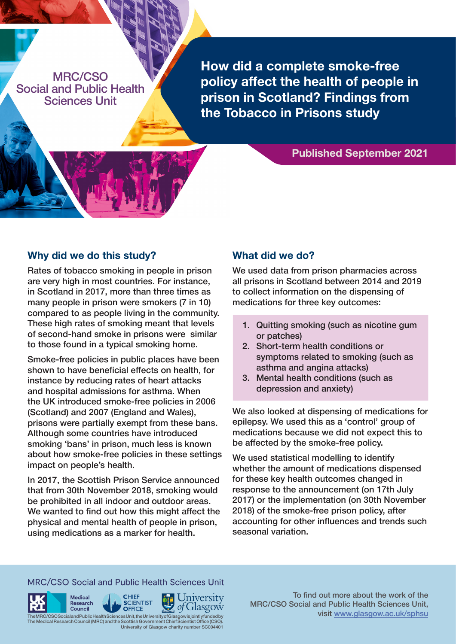MRC/CSO Social and Public Health Sciences Unit

**How did a complete smoke-free policy affect the health of people in prison in Scotland? Findings from the Tobacco in Prisons study**

# **Published September 2021**

### **Why did we do this study?**

Rates of tobacco smoking in people in prison are very high in most countries. For instance, in Scotland in 2017, more than three times as many people in prison were smokers (7 in 10) compared to as people living in the community. These high rates of smoking meant that levels of second-hand smoke in prisons were similar to those found in a typical smoking home.

Smoke-free policies in public places have been shown to have beneficial effects on health, for instance by reducing rates of heart attacks and hospital admissions for asthma. When the UK introduced smoke-free policies in 2006 (Scotland) and 2007 (England and Wales), prisons were partially exempt from these bans. Although some countries have introduced smoking 'bans' in prison, much less is known about how smoke-free policies in these settings impact on people's health.

In 2017, the Scottish Prison Service announced that from 30th November 2018, smoking would be prohibited in all indoor and outdoor areas. We wanted to find out how this might affect the physical and mental health of people in prison, using medications as a marker for health.

# **What did we do?**

We used data from prison pharmacies across all prisons in Scotland between 2014 and 2019 to collect information on the dispensing of medications for three key outcomes:

- 1. Quitting smoking (such as nicotine gum or patches)
- 2. Short-term health conditions or symptoms related to smoking (such as asthma and angina attacks)
- 3. Mental health conditions (such as depression and anxiety)

We also looked at dispensing of medications for epilepsy. We used this as a 'control' group of medications because we did not expect this to be affected by the smoke-free policy.

We used statistical modelling to identify whether the amount of medications dispensed for these key health outcomes changed in response to the announcement (on 17th July 2017) or the implementation (on 30th November 2018) of the smoke-free prison policy, after accounting for other influences and trends such seasonal variation.

## MRC/CSO Social and Public Health Sciences Unit









To find out more about the work of the MRC/CSO Social and Public Health Sciences Unit, visit [www.glasgow.ac.uk/sphsu](http://www.glasgow.ac.uk/sphsu)

eMRC/CSO Social and Public Health Sciences Unit, the University of Gla The Medical Research Council (MRC) and the Scottish Government Chief Scientist Office (CSO). University of Glasgow charity number SC004401